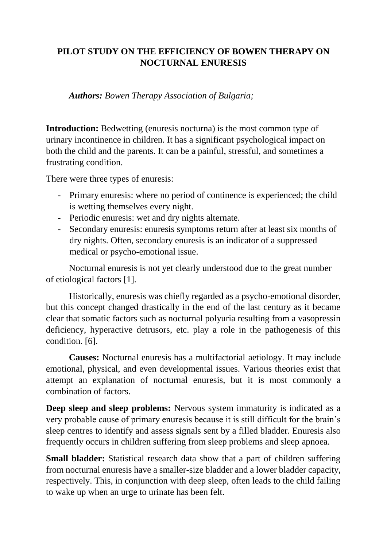## **PILOT STUDY ON THE EFFICIENCY OF BOWEN THERAPY ON NOCTURNAL ENURESIS**

*Authors: Bowen Therapy Association of Bulgaria;* 

**Introduction:** Bedwetting (enuresis nocturna) is the most common type of urinary incontinence in children. It has a significant psychological impact on both the child and the parents. It can be a painful, stressful, and sometimes a frustrating condition.

There were three types of enuresis:

- Primary enuresis: where no period of continence is experienced; the child is wetting themselves every night.
- Periodic enuresis: wet and dry nights alternate.
- Secondary enuresis: enuresis symptoms return after at least six months of dry nights. Often, secondary enuresis is an indicator of a suppressed medical or psycho-emotional issue.

Nocturnal enuresis is not yet clearly understood due to the great number of etiological factors [1].

Historically, enuresis was chiefly regarded as a psycho-emotional disorder, but this concept changed drastically in the end of the last century as it became clear that somatic factors such as nocturnal polyuria resulting from a vasopressin deficiency, hyperactive detrusors, etc. play a role in the pathogenesis of this condition. [6].

**Causes:** Nocturnal enuresis has a multifactorial aetiology. It may include emotional, physical, and even developmental issues. Various theories exist that attempt an explanation of nocturnal enuresis, but it is most commonly a combination of factors.

**Deep sleep and sleep problems:** Nervous system immaturity is indicated as a very probable cause of primary enuresis because it is still difficult for the brain's sleep centres to identify and assess signals sent by a filled bladder. Enuresis also frequently occurs in children suffering from sleep problems and sleep apnoea.

**Small bladder:** Statistical research data show that a part of children suffering from nocturnal enuresis have a smaller-size bladder and a lower bladder capacity, respectively. This, in conjunction with deep sleep, often leads to the child failing to wake up when an urge to urinate has been felt.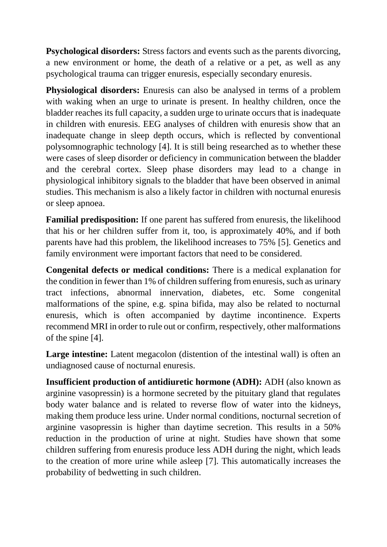**Psychological disorders:** Stress factors and events such as the parents divorcing, a new environment or home, the death of a relative or a pet, as well as any psychological trauma can trigger enuresis, especially secondary enuresis.

**Physiological disorders:** Enuresis can also be analysed in terms of a problem with waking when an urge to urinate is present. In healthy children, once the bladder reaches its full capacity, a sudden urge to urinate occurs that is inadequate in children with enuresis. EEG analyses of children with enuresis show that an inadequate change in sleep depth occurs, which is reflected by conventional polysomnographic technology [4]. It is still being researched as to whether these were cases of sleep disorder or deficiency in communication between the bladder and the cerebral cortex. Sleep phase disorders may lead to a change in physiological inhibitory signals to the bladder that have been observed in animal studies. This mechanism is also a likely factor in children with nocturnal enuresis or sleep apnoea.

**Familial predisposition:** If one parent has suffered from enuresis, the likelihood that his or her children suffer from it, too, is approximately 40%, and if both parents have had this problem, the likelihood increases to 75% [5]. Genetics and family environment were important factors that need to be considered.

**Congenital defects or medical conditions:** There is a medical explanation for the condition in fewer than 1% of children suffering from enuresis, such as urinary tract infections, abnormal innervation, diabetes, etc. Some congenital malformations of the spine, e.g. spina bifida, may also be related to nocturnal enuresis, which is often accompanied by daytime incontinence. Experts recommend MRI in order to rule out or confirm, respectively, other malformations of the spine [4].

Large intestine: Latent megacolon (distention of the intestinal wall) is often an undiagnosed cause of nocturnal enuresis.

**Insufficient production of antidiuretic hormone (ADH):** ADH (also known as arginine vasopressin) is a hormone secreted by the pituitary gland that regulates body water balance and is related to reverse flow of water into the kidneys, making them produce less urine. Under normal conditions, nocturnal secretion of arginine vasopressin is higher than daytime secretion. This results in a 50% reduction in the production of urine at night. Studies have shown that some children suffering from enuresis produce less ADH during the night, which leads to the creation of more urine while asleep [7]. This automatically increases the probability of bedwetting in such children.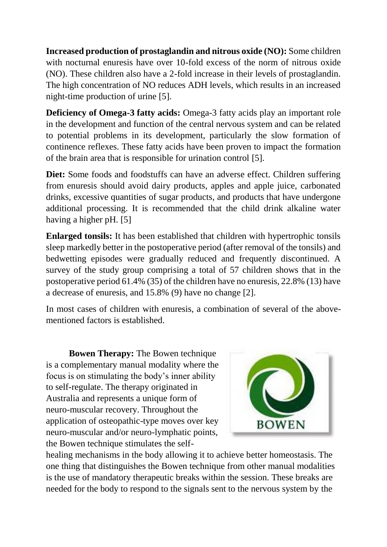**Increased production of prostaglandin and nitrous oxide (NO):** Some children with nocturnal enuresis have over 10-fold excess of the norm of nitrous oxide (NO). These children also have a 2-fold increase in their levels of prostaglandin. The high concentration of NO reduces ADH levels, which results in an increased night-time production of urine [5].

**Deficiency of Omega-3 fatty acids:** Omega-3 fatty acids play an important role in the development and function of the central nervous system and can be related to potential problems in its development, particularly the slow formation of continence reflexes. These fatty acids have been proven to impact the formation of the brain area that is responsible for urination control [5].

**Diet:** Some foods and foodstuffs can have an adverse effect. Children suffering from enuresis should avoid dairy products, apples and apple juice, carbonated drinks, excessive quantities of sugar products, and products that have undergone additional processing. It is recommended that the child drink alkaline water having a higher pH. [5]

**Enlarged tonsils:** It has been established that children with hypertrophic tonsils sleep markedly better in the postoperative period (after removal of the tonsils) and bedwetting episodes were gradually reduced and frequently discontinued. A survey of the study group comprising a total of 57 children shows that in the postoperative period 61.4% (35) of the children have no enuresis, 22.8% (13) have a decrease of enuresis, and 15.8% (9) have no change [2].

In most cases of children with enuresis, a combination of several of the abovementioned factors is established.

**Bowen Therapy:** The Bowen technique is a complementary manual modality where the focus is on stimulating the body's inner ability to self-regulate. The therapy originated in Australia and represents a unique form of neuro-muscular recovery. Throughout the application of osteopathic-type moves over key neuro-muscular and/or neuro-lymphatic points, the Bowen technique stimulates the self-



healing mechanisms in the body allowing it to achieve better homeostasis. The one thing that distinguishes the Bowen technique from other manual modalities is the use of mandatory therapeutic breaks within the session. These breaks are needed for the body to respond to the signals sent to the nervous system by the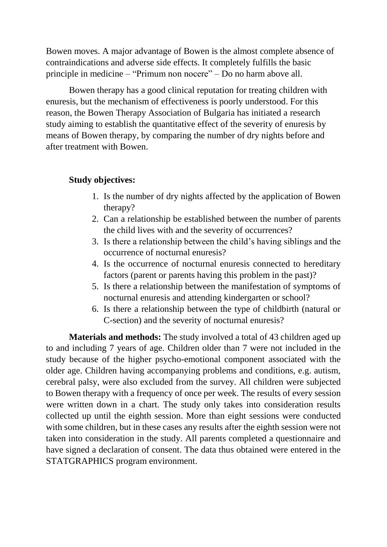Bowen moves. A major advantage of Bowen is the almost complete absence of contraindications and adverse side effects. It completely fulfills the basic principle in medicine – "Primum non nocere" – Do no harm above all.

Bowen therapy has a good clinical reputation for treating children with enuresis, but the mechanism of effectiveness is poorly understood. For this reason, the Bowen Therapy Association of Bulgaria has initiated a research study aiming to establish the quantitative effect of the severity of enuresis by means of Bowen therapy, by comparing the number of dry nights before and after treatment with Bowen.

## **Study objectives:**

- 1. Is the number of dry nights affected by the application of Bowen therapy?
- 2. Can a relationship be established between the number of parents the child lives with and the severity of occurrences?
- 3. Is there a relationship between the child's having siblings and the occurrence of nocturnal enuresis?
- 4. Is the occurrence of nocturnal enuresis connected to hereditary factors (parent or parents having this problem in the past)?
- 5. Is there a relationship between the manifestation of symptoms of nocturnal enuresis and attending kindergarten or school?
- 6. Is there a relationship between the type of childbirth (natural or C-section) and the severity of nocturnal enuresis?

**Materials and methods:** The study involved a total of 43 children aged up to and including 7 years of age. Children older than 7 were not included in the study because of the higher psycho-emotional component associated with the older age. Children having accompanying problems and conditions, e.g. autism, cerebral palsy, were also excluded from the survey. All children were subjected to Bowen therapy with a frequency of once per week. The results of every session were written down in a chart. The study only takes into consideration results collected up until the eighth session. More than eight sessions were conducted with some children, but in these cases any results after the eighth session were not taken into consideration in the study. All parents completed a questionnaire and have signed a declaration of consent. The data thus obtained were entered in the STATGRAPHICS program environment.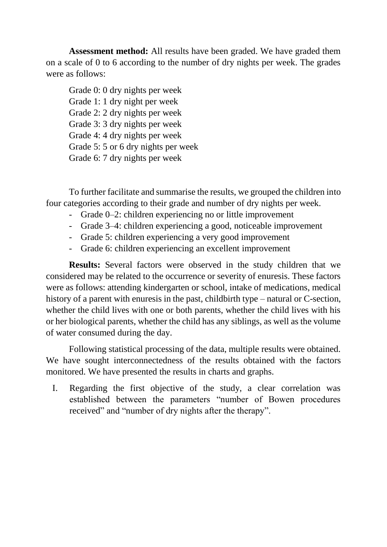**Assessment method:** All results have been graded. We have graded them on a scale of 0 to 6 according to the number of dry nights per week. The grades were as follows:

Grade 0: 0 dry nights per week Grade 1: 1 dry night per week Grade 2: 2 dry nights per week Grade 3: 3 dry nights per week Grade 4: 4 dry nights per week Grade 5: 5 or 6 dry nights per week Grade 6: 7 dry nights per week

To further facilitate and summarise the results, we grouped the children into four categories according to their grade and number of dry nights per week.

- Grade 0–2: children experiencing no or little improvement
- Grade 3–4: children experiencing a good, noticeable improvement
- Grade 5: children experiencing a very good improvement
- Grade 6: children experiencing an excellent improvement

**Results:** Several factors were observed in the study children that we considered may be related to the occurrence or severity of enuresis. These factors were as follows: attending kindergarten or school, intake of medications, medical history of a parent with enuresis in the past, childbirth type – natural or C-section, whether the child lives with one or both parents, whether the child lives with his or her biological parents, whether the child has any siblings, as well as the volume of water consumed during the day.

Following statistical processing of the data, multiple results were obtained. We have sought interconnectedness of the results obtained with the factors monitored. We have presented the results in charts and graphs.

I. Regarding the first objective of the study, a clear correlation was established between the parameters "number of Bowen procedures received" and "number of dry nights after the therapy".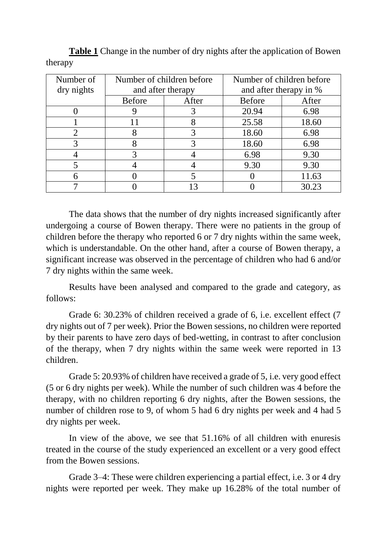| Number of  | Number of children before |       | Number of children before |       |
|------------|---------------------------|-------|---------------------------|-------|
| dry nights | and after therapy         |       | and after therapy in %    |       |
|            | <b>Before</b>             | After | <b>Before</b>             | After |
|            |                           |       | 20.94                     | 6.98  |
|            | 11                        |       | 25.58                     | 18.60 |
|            |                           |       | 18.60                     | 6.98  |
|            | 8                         |       | 18.60                     | 6.98  |
|            | 3                         |       | 6.98                      | 9.30  |
|            |                           |       | 9.30                      | 9.30  |
|            |                           |       |                           | 11.63 |
|            |                           |       |                           | 30.23 |

**Table 1** Change in the number of dry nights after the application of Bowen therapy

The data shows that the number of dry nights increased significantly after undergoing a course of Bowen therapy. There were no patients in the group of children before the therapy who reported 6 or 7 dry nights within the same week, which is understandable. On the other hand, after a course of Bowen therapy, a significant increase was observed in the percentage of children who had 6 and/or 7 dry nights within the same week.

Results have been analysed and compared to the grade and category, as follows:

Grade 6: 30.23% of children received a grade of 6, i.e. excellent effect (7 dry nights out of 7 per week). Prior the Bowen sessions, no children were reported by their parents to have zero days of bed-wetting, in contrast to after conclusion of the therapy, when 7 dry nights within the same week were reported in 13 children.

Grade 5: 20.93% of children have received a grade of 5, i.e. very good effect (5 or 6 dry nights per week). While the number of such children was 4 before the therapy, with no children reporting 6 dry nights, after the Bowen sessions, the number of children rose to 9, of whom 5 had 6 dry nights per week and 4 had 5 dry nights per week.

In view of the above, we see that 51.16% of all children with enuresis treated in the course of the study experienced an excellent or a very good effect from the Bowen sessions.

Grade 3–4: These were children experiencing a partial effect, i.e. 3 or 4 dry nights were reported per week. They make up 16.28% of the total number of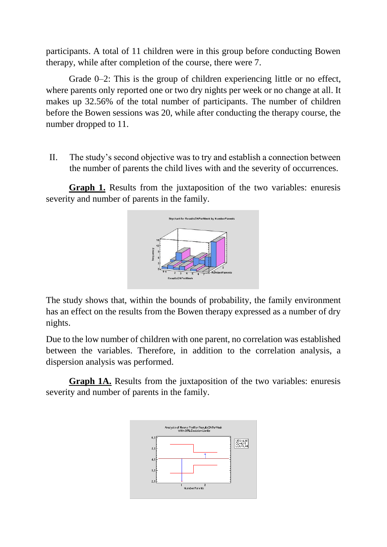participants. A total of 11 children were in this group before conducting Bowen therapy, while after completion of the course, there were 7.

Grade 0–2: This is the group of children experiencing little or no effect, where parents only reported one or two dry nights per week or no change at all. It makes up 32.56% of the total number of participants. The number of children before the Bowen sessions was 20, while after conducting the therapy course, the number dropped to 11.

II. The study's second objective was to try and establish a connection between the number of parents the child lives with and the severity of occurrences.

**Graph 1.** Results from the juxtaposition of the two variables: enuresis severity and number of parents in the family.



The study shows that, within the bounds of probability, the family environment has an effect on the results from the Bowen therapy expressed as a number of dry nights.

Due to the low number of children with one parent, no correlation was established between the variables. Therefore, in addition to the correlation analysis, a dispersion analysis was performed.

**Graph 1A.** Results from the juxtaposition of the two variables: enuresis severity and number of parents in the family.

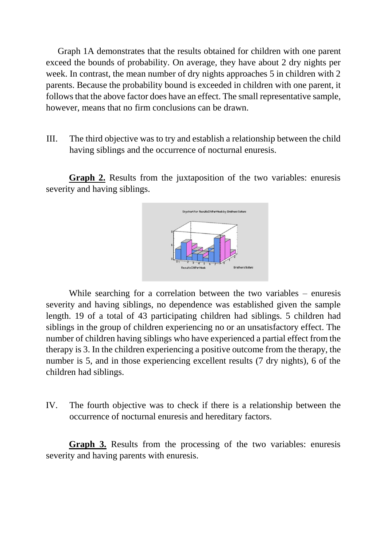Graph 1A demonstrates that the results obtained for children with one parent exceed the bounds of probability. On average, they have about 2 dry nights per week. In contrast, the mean number of dry nights approaches 5 in children with 2 parents. Because the probability bound is exceeded in children with one parent, it follows that the above factor does have an effect. The small representative sample, however, means that no firm conclusions can be drawn.

III. The third objective was to try and establish a relationship between the child having siblings and the occurrence of nocturnal enuresis.

**Graph 2.** Results from the juxtaposition of the two variables: enuresis severity and having siblings.



While searching for a correlation between the two variables – enuresis severity and having siblings, no dependence was established given the sample length. 19 of a total of 43 participating children had siblings. 5 children had siblings in the group of children experiencing no or an unsatisfactory effect. The number of children having siblings who have experienced a partial effect from the therapy is 3. In the children experiencing a positive outcome from the therapy, the number is 5, and in those experiencing excellent results (7 dry nights), 6 of the children had siblings.

IV. The fourth objective was to check if there is a relationship between the occurrence of nocturnal enuresis and hereditary factors.

**Graph 3.** Results from the processing of the two variables: enuresis severity and having parents with enuresis.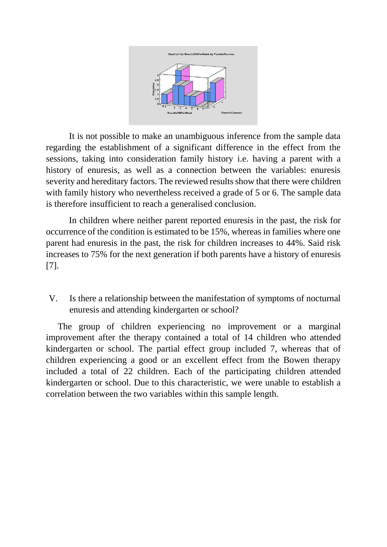

It is not possible to make an unambiguous inference from the sample data regarding the establishment of a significant difference in the effect from the sessions, taking into consideration family history i.e. having a parent with a history of enuresis, as well as a connection between the variables: enuresis severity and hereditary factors. The reviewed results show that there were children with family history who nevertheless received a grade of 5 or 6. The sample data is therefore insufficient to reach a generalised conclusion.

In children where neither parent reported enuresis in the past, the risk for occurrence of the condition is estimated to be 15%, whereas in families where one parent had enuresis in the past, the risk for children increases to 44%. Said risk increases to 75% for the next generation if both parents have a history of enuresis [7].

V. Is there a relationship between the manifestation of symptoms of nocturnal enuresis and attending kindergarten or school?

The group of children experiencing no improvement or a marginal improvement after the therapy contained a total of 14 children who attended kindergarten or school. The partial effect group included 7, whereas that of children experiencing a good or an excellent effect from the Bowen therapy included a total of 22 children. Each of the participating children attended kindergarten or school. Due to this characteristic, we were unable to establish a correlation between the two variables within this sample length.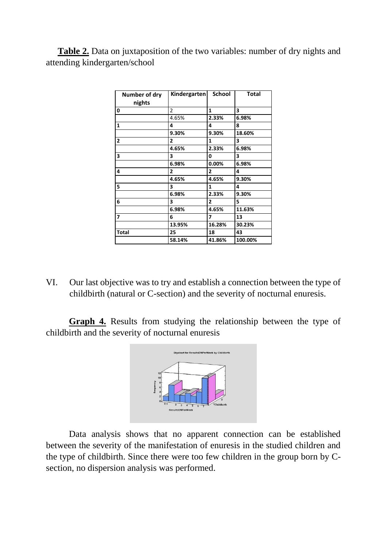**Table 2.** Data on juxtaposition of the two variables: number of dry nights and attending kindergarten/school

| Number of dry<br>nights | Kindergarten   | <b>School</b>  | <b>Total</b> |
|-------------------------|----------------|----------------|--------------|
| 0                       | 2              | 1              | 3            |
|                         | 4.65%          | 2.33%          | 6.98%        |
| $\mathbf{1}$            | 4              | 4              | 8            |
|                         | 9.30%          | 9.30%          | 18.60%       |
| $\overline{2}$          | $\overline{2}$ | 1              | 3            |
|                         | 4.65%          | 2.33%          | 6.98%        |
| 3                       | 3              | 0              | 3            |
|                         | 6.98%          | 0.00%          | 6.98%        |
| 4                       | $\overline{2}$ | $\overline{2}$ | 4            |
|                         | 4.65%          | 4.65%          | 9.30%        |
| 5                       | 3              | 1              | 4            |
|                         | 6.98%          | 2.33%          | 9.30%        |
| 6                       | 3              | $\overline{2}$ | 5            |
|                         | 6.98%          | 4.65%          | 11.63%       |
| 7                       | 6              | 7              | 13           |
|                         | 13.95%         | 16.28%         | 30.23%       |
| Total                   | 25             | 18             | 43           |
|                         | 58.14%         | 41.86%         | 100.00%      |

VI. Our last objective was to try and establish a connection between the type of childbirth (natural or C-section) and the severity of nocturnal enuresis.

**Graph 4.** Results from studying the relationship between the type of childbirth and the severity of nocturnal enuresis



Data analysis shows that no apparent connection can be established between the severity of the manifestation of enuresis in the studied children and the type of childbirth. Since there were too few children in the group born by Csection, no dispersion analysis was performed.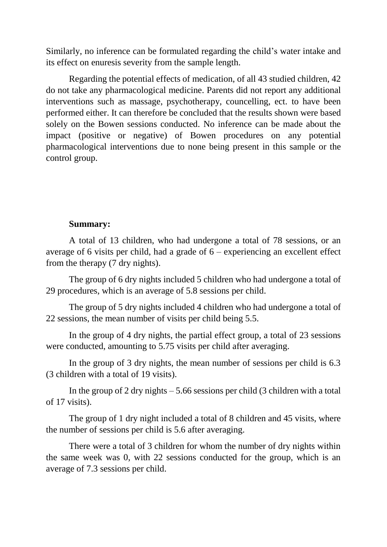Similarly, no inference can be formulated regarding the child's water intake and its effect on enuresis severity from the sample length.

Regarding the potential effects of medication, of all 43 studied children, 42 do not take any pharmacological medicine. Parents did not report any additional interventions such as massage, psychotherapy, councelling, ect. to have been performed either. It can therefore be concluded that the results shown were based solely on the Bowen sessions conducted. No inference can be made about the impact (positive or negative) of Bowen procedures on any potential pharmacological interventions due to none being present in this sample or the control group.

## **Summary:**

A total of 13 children, who had undergone a total of 78 sessions, or an average of 6 visits per child, had a grade of  $6$  – experiencing an excellent effect from the therapy (7 dry nights).

The group of 6 dry nights included 5 children who had undergone a total of 29 procedures, which is an average of 5.8 sessions per child.

The group of 5 dry nights included 4 children who had undergone a total of 22 sessions, the mean number of visits per child being 5.5.

In the group of 4 dry nights, the partial effect group, a total of 23 sessions were conducted, amounting to 5.75 visits per child after averaging.

In the group of 3 dry nights, the mean number of sessions per child is 6.3 (3 children with a total of 19 visits).

In the group of 2 dry nights  $-5.66$  sessions per child (3 children with a total of 17 visits).

The group of 1 dry night included a total of 8 children and 45 visits, where the number of sessions per child is 5.6 after averaging.

There were a total of 3 children for whom the number of dry nights within the same week was 0, with 22 sessions conducted for the group, which is an average of 7.3 sessions per child.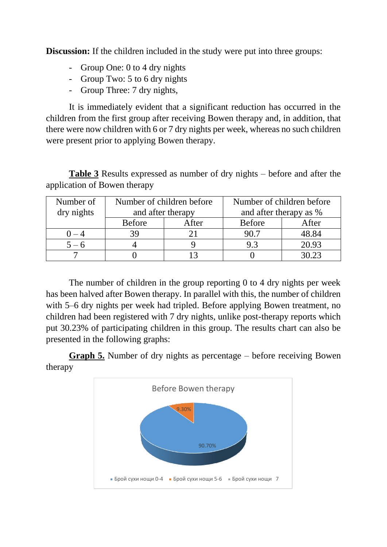**Discussion:** If the children included in the study were put into three groups:

- Group One: 0 to 4 dry nights
- Group Two: 5 to 6 dry nights
- Group Three: 7 dry nights,

It is immediately evident that a significant reduction has occurred in the children from the first group after receiving Bowen therapy and, in addition, that there were now children with 6 or 7 dry nights per week, whereas no such children were present prior to applying Bowen therapy.

**Table 3** Results expressed as number of dry nights – before and after the application of Bowen therapy

| Number of  | Number of children before |       | Number of children before |       |
|------------|---------------------------|-------|---------------------------|-------|
| dry nights | and after therapy         |       | and after therapy as %    |       |
|            | <b>Before</b>             | After | <b>Before</b>             | After |
| $() - 4$   |                           |       | 90.7                      | 48.84 |
| $5 - 6$    |                           |       | 93                        | 20.93 |
|            |                           |       |                           |       |

The number of children in the group reporting 0 to 4 dry nights per week has been halved after Bowen therapy. In parallel with this, the number of children with 5–6 dry nights per week had tripled. Before applying Bowen treatment, no children had been registered with 7 dry nights, unlike post-therapy reports which put 30.23% of participating children in this group. The results chart can also be presented in the following graphs:



**Graph 5.** Number of dry nights as percentage – before receiving Bowen therapy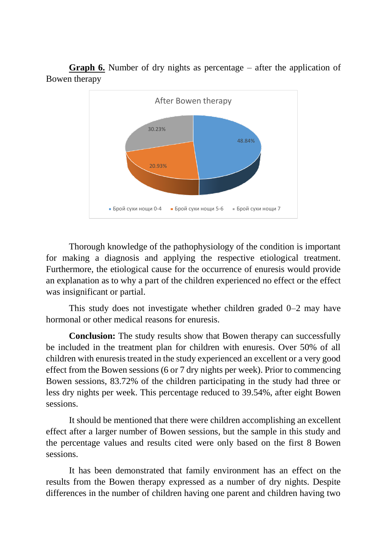

**Graph 6.** Number of dry nights as percentage – after the application of Bowen therapy

Thorough knowledge of the pathophysiology of the condition is important for making a diagnosis and applying the respective etiological treatment. Furthermore, the etiological cause for the occurrence of enuresis would provide an explanation as to why a part of the children experienced no effect or the effect was insignificant or partial.

This study does not investigate whether children graded 0–2 may have hormonal or other medical reasons for enuresis.

**Conclusion:** The study results show that Bowen therapy can successfully be included in the treatment plan for children with enuresis. Over 50% of all children with enuresis treated in the study experienced an excellent or a very good effect from the Bowen sessions (6 or 7 dry nights per week). Prior to commencing Bowen sessions, 83.72% of the children participating in the study had three or less dry nights per week. This percentage reduced to 39.54%, after eight Bowen sessions.

It should be mentioned that there were children accomplishing an excellent effect after a larger number of Bowen sessions, but the sample in this study and the percentage values and results cited were only based on the first 8 Bowen sessions.

It has been demonstrated that family environment has an effect on the results from the Bowen therapy expressed as a number of dry nights. Despite differences in the number of children having one parent and children having two